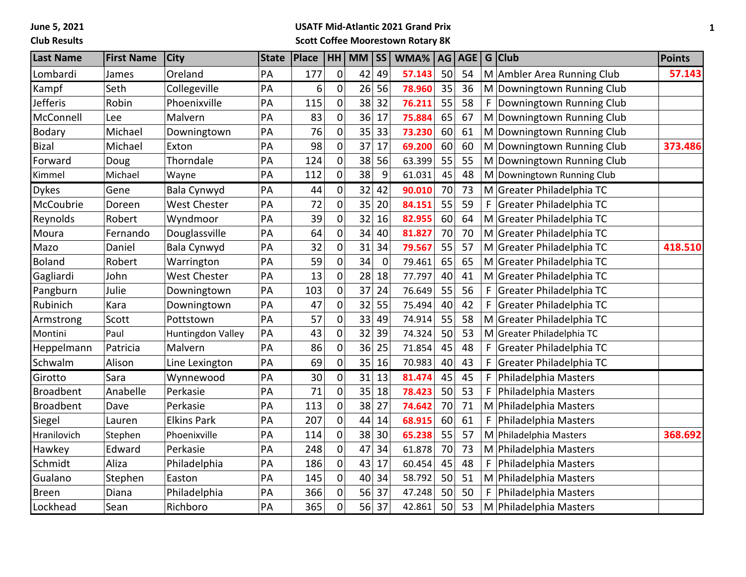**June 5, 2021**

## **Club Results**

#### **USATF Mid-Atlantic 2021 Grand Prix Scott Coffee Moorestown Rotary 8K**

| <b>Last Name</b> | <b>First Name</b> | <b>City</b>         | <b>State</b> | Place | HH               | MM | <b>SS</b>   | WMA%   | AG | <b>AGE</b> |   | G Club                     | Points  |
|------------------|-------------------|---------------------|--------------|-------|------------------|----|-------------|--------|----|------------|---|----------------------------|---------|
| Lombardi         | James             | Oreland             | PA           | 177   | 0                | 42 | 49          | 57.143 | 50 | 54         |   | M Ambler Area Running Club | 57.143  |
| Kampf            | Seth              | Collegeville        | PA           | 6     | $\pmb{0}$        | 26 | 56          | 78.960 | 35 | 36         |   | M Downingtown Running Club |         |
| <b>Jefferis</b>  | Robin             | Phoenixville        | PA           | 115   | $\mathbf 0$      | 38 | 32          | 76.211 | 55 | 58         | F | Downingtown Running Club   |         |
| McConnell        | Lee               | Malvern             | PA           | 83    | $\mathbf 0$      | 36 | 17          | 75.884 | 65 | 67         |   | M Downingtown Running Club |         |
| <b>Bodary</b>    | Michael           | Downingtown         | PA           | 76    | $\boldsymbol{0}$ | 35 | 33          | 73.230 | 60 | 61         |   | M Downingtown Running Club |         |
| <b>Bizal</b>     | Michael           | Exton               | PA           | 98    | $\mathbf 0$      | 37 | 17          | 69.200 | 60 | 60         |   | M Downingtown Running Club | 373.486 |
| Forward          | Doug              | Thorndale           | PA           | 124   | $\mathbf 0$      | 38 | 56          | 63.399 | 55 | 55         |   | M Downingtown Running Club |         |
| Kimmel           | Michael           | Wayne               | PA           | 112   | 0                | 38 | 9           | 61.031 | 45 | 48         |   | M Downingtown Running Club |         |
| <b>Dykes</b>     | Gene              | Bala Cynwyd         | PA           | 44    | 0                | 32 | 42          | 90.010 | 70 | 73         |   | M Greater Philadelphia TC  |         |
| McCoubrie        | Doreen            | <b>West Chester</b> | PA           | 72    | 0                | 35 | 20          | 84.151 | 55 | 59         | F | Greater Philadelphia TC    |         |
| Reynolds         | Robert            | Wyndmoor            | PA           | 39    | $\mathbf 0$      | 32 | 16          | 82.955 | 60 | 64         |   | M Greater Philadelphia TC  |         |
| Moura            | Fernando          | Douglassville       | PA           | 64    | $\mathbf 0$      | 34 | 40          | 81.827 | 70 | 70         |   | M Greater Philadelphia TC  |         |
| Mazo             | Daniel            | Bala Cynwyd         | PA           | 32    | $\mathbf 0$      | 31 | 34          | 79.567 | 55 | 57         |   | M Greater Philadelphia TC  | 418.510 |
| <b>Boland</b>    | Robert            | Warrington          | PA           | 59    | $\mathbf 0$      | 34 | $\mathbf 0$ | 79.461 | 65 | 65         |   | M Greater Philadelphia TC  |         |
| Gagliardi        | John              | <b>West Chester</b> | PA           | 13    | 0                | 28 | 18          | 77.797 | 40 | 41         |   | M Greater Philadelphia TC  |         |
| Pangburn         | Julie             | Downingtown         | PA           | 103   | $\mathbf 0$      | 37 | 24          | 76.649 | 55 | 56         | F | Greater Philadelphia TC    |         |
| Rubinich         | Kara              | Downingtown         | PA           | 47    | 0                | 32 | 55          | 75.494 | 40 | 42         | F | Greater Philadelphia TC    |         |
| Armstrong        | Scott             | Pottstown           | PA           | 57    | $\mathbf 0$      | 33 | 49          | 74.914 | 55 | 58         |   | M Greater Philadelphia TC  |         |
| Montini          | Paul              | Huntingdon Valley   | PA           | 43    | $\overline{0}$   | 32 | 39          | 74.324 | 50 | 53         |   | M Greater Philadelphia TC  |         |
| Heppelmann       | Patricia          | Malvern             | PA           | 86    | $\mathbf 0$      | 36 | 25          | 71.854 | 45 | 48         | F | Greater Philadelphia TC    |         |
| Schwalm          | Alison            | Line Lexington      | PA           | 69    | $\mathbf 0$      | 35 | 16          | 70.983 | 40 | 43         | F | Greater Philadelphia TC    |         |
| Girotto          | Sara              | Wynnewood           | PA           | 30    | 0                | 31 | 13          | 81.474 | 45 | 45         | F | Philadelphia Masters       |         |
| <b>Broadbent</b> | Anabelle          | Perkasie            | PA           | 71    | $\mathbf 0$      | 35 | 18          | 78.423 | 50 | 53         | F | Philadelphia Masters       |         |
| <b>Broadbent</b> | Dave              | Perkasie            | PA           | 113   | 0                | 38 | 27          | 74.642 | 70 | 71         |   | M Philadelphia Masters     |         |
| Siegel           | Lauren            | <b>Elkins Park</b>  | PA           | 207   | $\overline{0}$   | 44 | 14          | 68.915 | 60 | 61         | F | Philadelphia Masters       |         |
| Hranilovich      | Stephen           | Phoenixville        | PA           | 114   | 0                | 38 | 30          | 65.238 | 55 | 57         |   | M Philadelphia Masters     | 368.692 |
| Hawkey           | Edward            | Perkasie            | PA           | 248   | $\mathbf 0$      | 47 | 34          | 61.878 | 70 | 73         |   | M Philadelphia Masters     |         |
| Schmidt          | Aliza             | Philadelphia        | PA           | 186   | $\mathbf 0$      | 43 | 17          | 60.454 | 45 | 48         | F | Philadelphia Masters       |         |
| Gualano          | Stephen           | Easton              | PA           | 145   | $\mathbf 0$      | 40 | 34          | 58.792 | 50 | 51         |   | M Philadelphia Masters     |         |
| <b>Breen</b>     | Diana             | Philadelphia        | PA           | 366   | $\mathbf 0$      | 56 | 37          | 47.248 | 50 | 50         | F | Philadelphia Masters       |         |
| Lockhead         | Sean              | Richboro            | PA           | 365   | $\overline{0}$   | 56 | 37          | 42.861 | 50 | 53         |   | M Philadelphia Masters     |         |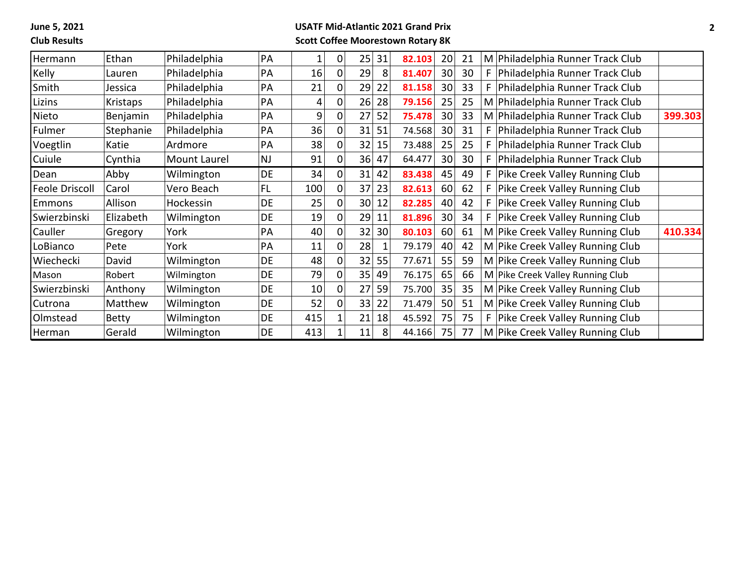**June 5, 2021**

# **Club Results**

#### **USATF Mid-Atlantic 2021 Grand Prix Scott Coffee Moorestown Rotary 8K**

| Hermann               | Ethan        | Philadelphia | PA        | 1   | 0           | 25              | 31 | 82.103 | 20              | 21 |    | M Philadelphia Runner Track Club      |         |
|-----------------------|--------------|--------------|-----------|-----|-------------|-----------------|----|--------|-----------------|----|----|---------------------------------------|---------|
| Kelly                 | Lauren       | Philadelphia | PA        | 16  | 0           | 29              | 8  | 81.407 | 30 <sup>2</sup> | 30 |    | Philadelphia Runner Track Club        |         |
| Smith                 | Jessica      | Philadelphia | PA        | 21  | 0           | 29              | 22 | 81.158 | 30              | 33 |    | Philadelphia Runner Track Club        |         |
| Lizins                | Kristaps     | Philadelphia | PA        | 4   | 0           | 26              | 28 | 79.156 | 25              | 25 |    | M Philadelphia Runner Track Club      |         |
| Nieto                 | Benjamin     | Philadelphia | PA        | 9   | 0           | 27              | 52 | 75.478 | 30 <sup>2</sup> | 33 |    | M Philadelphia Runner Track Club      | 399.303 |
| Fulmer                | Stephanie    | Philadelphia | PA        | 36  | 0           | 31              | 51 | 74.568 | 30              | 31 |    | Philadelphia Runner Track Club        |         |
| Voegtlin              | Katie        | Ardmore      | PA        | 38  | 0           | 32              | 15 | 73.488 | 25              | 25 |    | Philadelphia Runner Track Club        |         |
| Cuiule                | Cynthia      | Mount Laurel | NJ        | 91  | 0           | 36              | 47 | 64.477 | 30 <sup>2</sup> | 30 | F. | Philadelphia Runner Track Club        |         |
| Dean                  | Abby         | Wilmington   | DE        | 34  | 0           | 31              | 42 | 83.438 | 45              | 49 |    | <b>Pike Creek Valley Running Club</b> |         |
| <b>Feole Driscoll</b> | Carol        | Vero Beach   | FL.       | 100 | $\Omega$    | 37              | 23 | 82.613 | 60              | 62 |    | Pike Creek Valley Running Club        |         |
| <b>Emmons</b>         | Allison      | Hockessin    | DE        | 25  | 0           | 30 <sup>°</sup> | 12 | 82.285 | 40              | 42 |    | <b>Pike Creek Valley Running Club</b> |         |
| Swierzbinski          | Elizabeth    | Wilmington   | DE        | 19  | 0           | 29              | 11 | 81.896 | 30 <sup>1</sup> | 34 |    | Pike Creek Valley Running Club        |         |
| Cauller               | Gregory      | York         | <b>PA</b> | 40  | $\mathbf 0$ | 32              | 30 | 80.103 | 60              | 61 |    | M Pike Creek Valley Running Club      | 410.334 |
| LoBianco              | Pete         | York         | PA        | 11  | 0           | 28              |    | 79.179 | 40              | 42 |    | M Pike Creek Valley Running Club      |         |
| Wiechecki             | David        | Wilmington   | DE        | 48  | 0           | 32              | 55 | 77.671 | 55              | 59 |    | M Pike Creek Valley Running Club      |         |
| Mason                 | Robert       | Wilmington   | DE        | 79  | 0           | 35              | 49 | 76.175 | 65              | 66 |    | M Pike Creek Valley Running Club      |         |
| Swierzbinski          | Anthony      | Wilmington   | DE        | 10  | 0           | 27              | 59 | 75.700 | 35              | 35 |    | M Pike Creek Valley Running Club      |         |
| Cutrona               | Matthew      | Wilmington   | DE        | 52  | $\Omega$    | 33              | 22 | 71.479 | 50              | 51 |    | M Pike Creek Valley Running Club      |         |
| Olmstead              | <b>Betty</b> | Wilmington   | DE        | 415 |             | 21              | 18 | 45.592 | 75              | 75 |    | Pike Creek Valley Running Club        |         |
| Herman                | Gerald       | Wilmington   | DE.       | 413 |             | 11              | 8  | 44.166 | 75              | 77 |    | M Pike Creek Valley Running Club      |         |